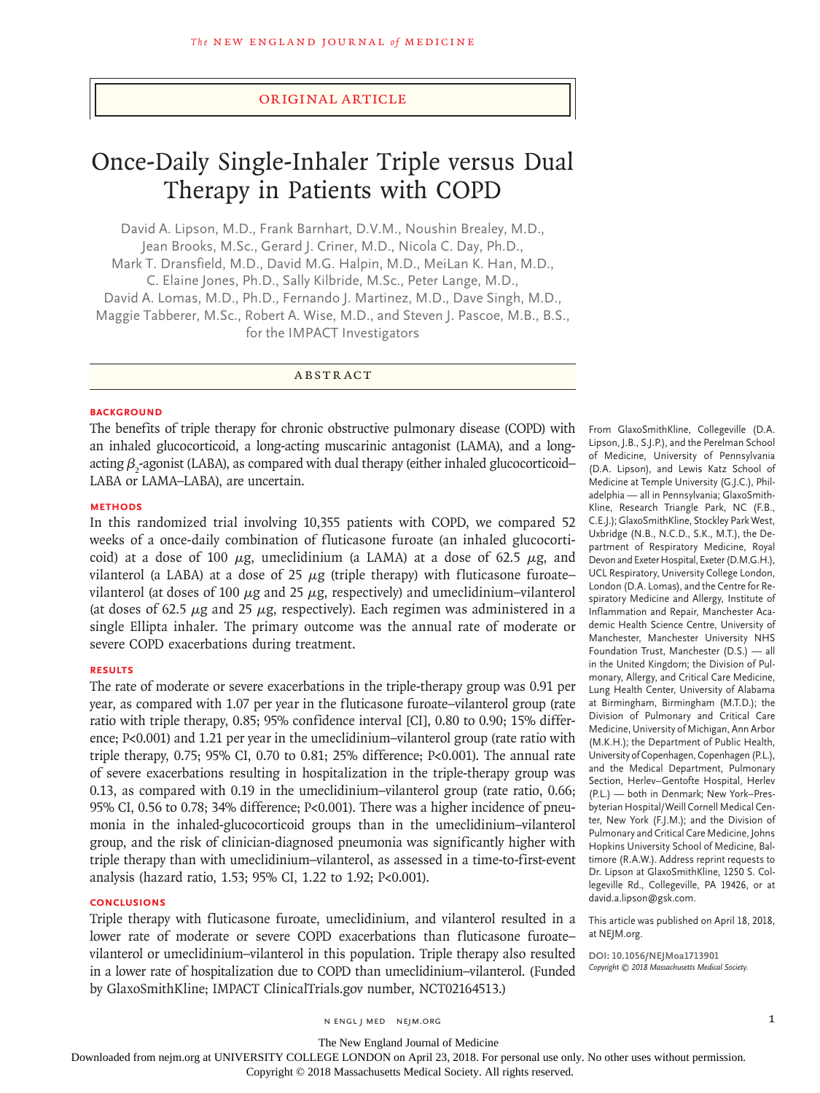# Original Article

# Once-Daily Single-Inhaler Triple versus Dual Therapy in Patients with COPD

David A. Lipson, M.D., Frank Barnhart, D.V.M., Noushin Brealey, M.D., Jean Brooks, M.Sc., Gerard J. Criner, M.D., Nicola C. Day, Ph.D., Mark T. Dransfield, M.D., David M.G. Halpin, M.D., MeiLan K. Han, M.D., C. Elaine Jones, Ph.D., Sally Kilbride, M.Sc., Peter Lange, M.D., David A. Lomas, M.D., Ph.D., Fernando J. Martinez, M.D., Dave Singh, M.D., Maggie Tabberer, M.Sc., Robert A. Wise, M.D., and Steven J. Pascoe, M.B., B.S., for the IMPACT Investigators

ABSTRACT

### **BACKGROUND**

The benefits of triple therapy for chronic obstructive pulmonary disease (COPD) with an inhaled glucocorticoid, a long-acting muscarinic antagonist (LAMA), and a longacting  $\beta_2$ -agonist (LABA), as compared with dual therapy (either inhaled glucocorticoid— LABA or LAMA–LABA), are uncertain.

#### **METHODS**

In this randomized trial involving 10,355 patients with COPD, we compared 52 weeks of a once-daily combination of fluticasone furoate (an inhaled glucocorticoid) at a dose of 100  $\mu$ g, umeclidinium (a LAMA) at a dose of 62.5  $\mu$ g, and vilanterol (a LABA) at a dose of 25  $\mu$ g (triple therapy) with fluticasone furoatevilanterol (at doses of 100  $\mu$ g and 25  $\mu$ g, respectively) and umeclidinium–vilanterol (at doses of 62.5  $\mu$ g and 25  $\mu$ g, respectively). Each regimen was administered in a single Ellipta inhaler. The primary outcome was the annual rate of moderate or severe COPD exacerbations during treatment.

#### **RESULTS**

The rate of moderate or severe exacerbations in the triple-therapy group was 0.91 per year, as compared with 1.07 per year in the fluticasone furoate–vilanterol group (rate ratio with triple therapy, 0.85; 95% confidence interval [CI], 0.80 to 0.90; 15% difference; P<0.001) and 1.21 per year in the umeclidinium–vilanterol group (rate ratio with triple therapy, 0.75; 95% CI, 0.70 to 0.81; 25% difference; P<0.001). The annual rate of severe exacerbations resulting in hospitalization in the triple-therapy group was 0.13, as compared with 0.19 in the umeclidinium–vilanterol group (rate ratio, 0.66; 95% CI, 0.56 to 0.78; 34% difference; P<0.001). There was a higher incidence of pneumonia in the inhaled-glucocorticoid groups than in the umeclidinium–vilanterol group, and the risk of clinician-diagnosed pneumonia was significantly higher with triple therapy than with umeclidinium–vilanterol, as assessed in a time-to-first-event analysis (hazard ratio, 1.53; 95% CI, 1.22 to 1.92; P<0.001).

#### **CONCLUSIONS**

Triple therapy with fluticasone furoate, umeclidinium, and vilanterol resulted in a lower rate of moderate or severe COPD exacerbations than fluticasone furoate– vilanterol or umeclidinium–vilanterol in this population. Triple therapy also resulted in a lower rate of hospitalization due to COPD than umeclidinium–vilanterol. (Funded by GlaxoSmithKline; IMPACT ClinicalTrials.gov number, NCT02164513.)

From GlaxoSmithKline, Collegeville (D.A. Lipson, J.B., S.J.P.), and the Perelman School of Medicine, University of Pennsylvania (D.A. Lipson), and Lewis Katz School of Medicine at Temple University (G.J.C.), Philadelphia — all in Pennsylvania; GlaxoSmith-Kline, Research Triangle Park, NC (F.B., C.E.J.); GlaxoSmithKline, Stockley Park West, Uxbridge (N.B., N.C.D., S.K., M.T.), the Department of Respiratory Medicine, Royal Devon and Exeter Hospital, Exeter (D.M.G.H.), UCL Respiratory, University College London, London (D.A. Lomas), and the Centre for Respiratory Medicine and Allergy, Institute of Inflammation and Repair, Manchester Academic Health Science Centre, University of Manchester, Manchester University NHS Foundation Trust, Manchester (D.S.) — all in the United Kingdom; the Division of Pulmonary, Allergy, and Critical Care Medicine, Lung Health Center, University of Alabama at Birmingham, Birmingham (M.T.D.); the Division of Pulmonary and Critical Care Medicine, University of Michigan, Ann Arbor (M.K.H.); the Department of Public Health, University of Copenhagen, Copenhagen (P.L.), and the Medical Department, Pulmonary Section, Herlev–Gentofte Hospital, Herlev (P.L.) — both in Denmark; New York–Presbyterian Hospital/Weill Cornell Medical Center, New York (F.J.M.); and the Division of Pulmonary and Critical Care Medicine, Johns Hopkins University School of Medicine, Baltimore (R.A.W.). Address reprint requests to Dr. Lipson at GlaxoSmithKline, 1250 S. Collegeville Rd., Collegeville, PA 19426, or at david.a.lipson@gsk.com.

This article was published on April 18, 2018, at NEJM.org.

**DOI: 10.1056/NEJMoa1713901** *Copyright © 2018 Massachusetts Medical Society.*

n engl j med nejm.org 1

The New England Journal of Medicine

Downloaded from nejm.org at UNIVERSITY COLLEGE LONDON on April 23, 2018. For personal use only. No other uses without permission.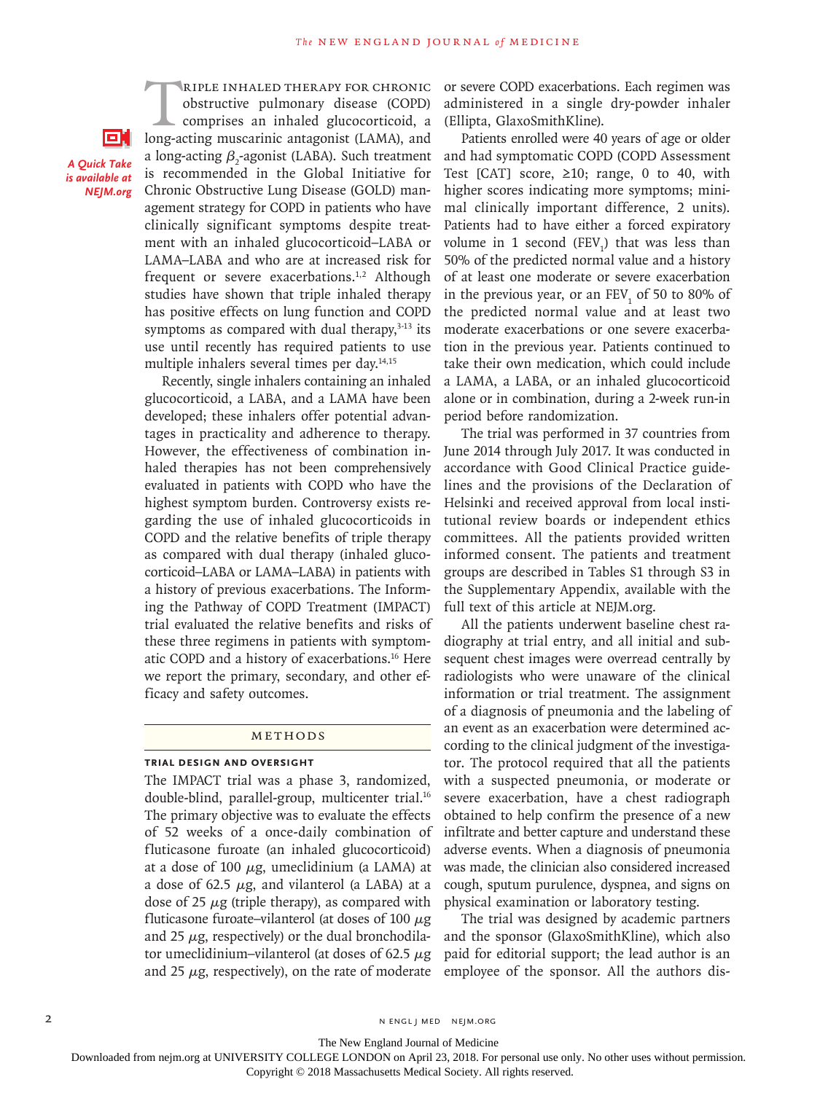cн *A Quick Take is available at NEJM.org*

RIPLE INHALED THERAPY FOR CHRONIC<br>obstructive pulmonary disease (COPD)<br>comprises an inhaled glucocorticoid, a<br>long-acting muscarinic antagonist (LAMA), and obstructive pulmonary disease (COPD) comprises an inhaled glucocorticoid, a long-acting muscarinic antagonist (LAMA), and a long-acting  $\beta_2$ -agonist (LABA). Such treatment is recommended in the Global Initiative for Chronic Obstructive Lung Disease (GOLD) management strategy for COPD in patients who have clinically significant symptoms despite treatment with an inhaled glucocorticoid–LABA or LAMA–LABA and who are at increased risk for frequent or severe exacerbations.<sup>1,2</sup> Although studies have shown that triple inhaled therapy has positive effects on lung function and COPD symptoms as compared with dual therapy, $3-13$  its use until recently has required patients to use multiple inhalers several times per day.<sup>14,15</sup>

Recently, single inhalers containing an inhaled glucocorticoid, a LABA, and a LAMA have been developed; these inhalers offer potential advantages in practicality and adherence to therapy. However, the effectiveness of combination inhaled therapies has not been comprehensively evaluated in patients with COPD who have the highest symptom burden. Controversy exists regarding the use of inhaled glucocorticoids in COPD and the relative benefits of triple therapy as compared with dual therapy (inhaled glucocorticoid–LABA or LAMA–LABA) in patients with a history of previous exacerbations. The Informing the Pathway of COPD Treatment (IMPACT) trial evaluated the relative benefits and risks of these three regimens in patients with symptomatic COPD and a history of exacerbations.16 Here we report the primary, secondary, and other efficacy and safety outcomes.

#### Methods

# **Trial Design and Oversight**

The IMPACT trial was a phase 3, randomized, double-blind, parallel-group, multicenter trial.<sup>16</sup> The primary objective was to evaluate the effects of 52 weeks of a once-daily combination of fluticasone furoate (an inhaled glucocorticoid) at a dose of 100  $\mu$ g, umeclidinium (a LAMA) at a dose of 62.5  $\mu$ g, and vilanterol (a LABA) at a dose of 25  $\mu$ g (triple therapy), as compared with fluticasone furoate–vilanterol (at doses of 100  $\mu$ g and 25  $\mu$ g, respectively) or the dual bronchodilator umeclidinium–vilanterol (at doses of 62.5  $\mu$ g and 25  $\mu$ g, respectively), on the rate of moderate or severe COPD exacerbations. Each regimen was administered in a single dry-powder inhaler (Ellipta, GlaxoSmithKline).

Patients enrolled were 40 years of age or older and had symptomatic COPD (COPD Assessment Test [CAT] score,  $\geq 10$ ; range, 0 to 40, with higher scores indicating more symptoms; minimal clinically important difference, 2 units). Patients had to have either a forced expiratory volume in 1 second  $(FEV_1)$  that was less than 50% of the predicted normal value and a history of at least one moderate or severe exacerbation in the previous year, or an  $\text{FEV}_1$  of 50 to 80% of the predicted normal value and at least two moderate exacerbations or one severe exacerbation in the previous year. Patients continued to take their own medication, which could include a LAMA, a LABA, or an inhaled glucocorticoid alone or in combination, during a 2-week run-in period before randomization.

The trial was performed in 37 countries from June 2014 through July 2017. It was conducted in accordance with Good Clinical Practice guidelines and the provisions of the Declaration of Helsinki and received approval from local institutional review boards or independent ethics committees. All the patients provided written informed consent. The patients and treatment groups are described in Tables S1 through S3 in the Supplementary Appendix, available with the full text of this article at NEJM.org.

All the patients underwent baseline chest radiography at trial entry, and all initial and subsequent chest images were overread centrally by radiologists who were unaware of the clinical information or trial treatment. The assignment of a diagnosis of pneumonia and the labeling of an event as an exacerbation were determined according to the clinical judgment of the investigator. The protocol required that all the patients with a suspected pneumonia, or moderate or severe exacerbation, have a chest radiograph obtained to help confirm the presence of a new infiltrate and better capture and understand these adverse events. When a diagnosis of pneumonia was made, the clinician also considered increased cough, sputum purulence, dyspnea, and signs on physical examination or laboratory testing.

The trial was designed by academic partners and the sponsor (GlaxoSmithKline), which also paid for editorial support; the lead author is an employee of the sponsor. All the authors dis-

2 N ENGL J MED NEJM.ORG

The New England Journal of Medicine

Downloaded from nejm.org at UNIVERSITY COLLEGE LONDON on April 23, 2018. For personal use only. No other uses without permission.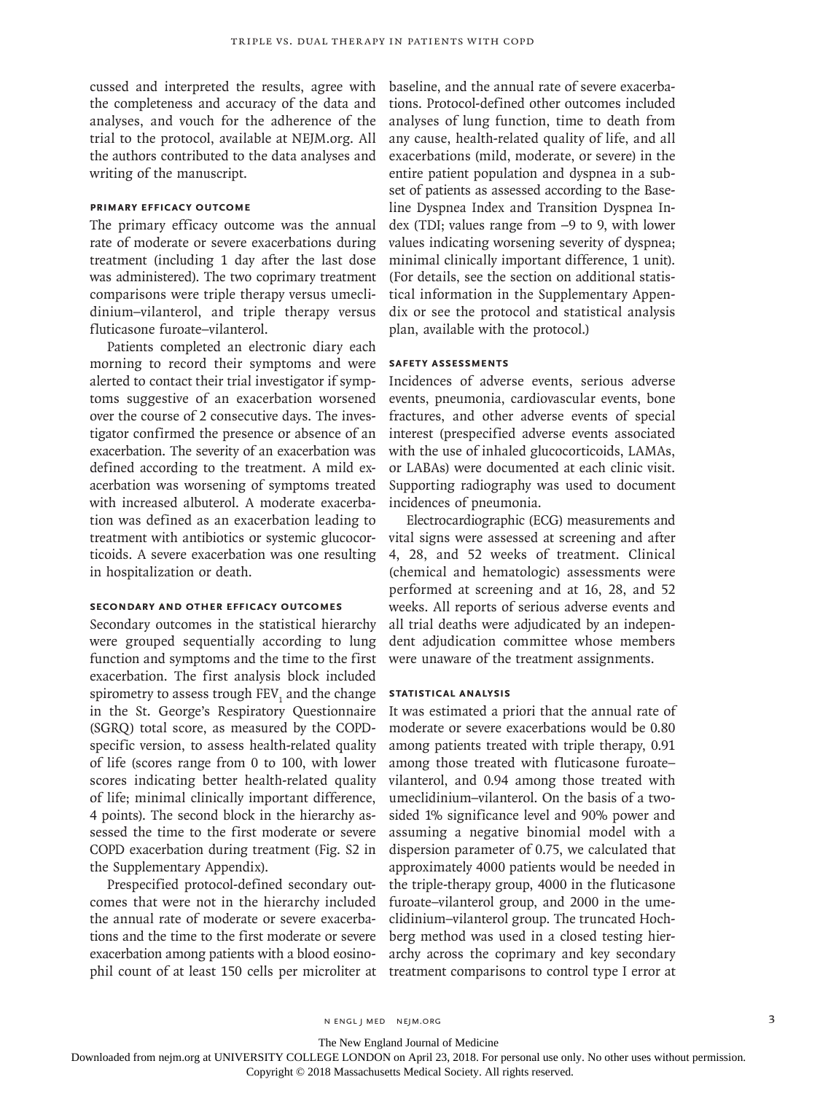cussed and interpreted the results, agree with the completeness and accuracy of the data and analyses, and vouch for the adherence of the trial to the protocol, available at NEJM.org. All the authors contributed to the data analyses and writing of the manuscript.

# **Primary Efficacy Outcome**

The primary efficacy outcome was the annual rate of moderate or severe exacerbations during treatment (including 1 day after the last dose was administered). The two coprimary treatment comparisons were triple therapy versus umeclidinium–vilanterol, and triple therapy versus fluticasone furoate–vilanterol.

Patients completed an electronic diary each morning to record their symptoms and were alerted to contact their trial investigator if symptoms suggestive of an exacerbation worsened over the course of 2 consecutive days. The investigator confirmed the presence or absence of an exacerbation. The severity of an exacerbation was defined according to the treatment. A mild exacerbation was worsening of symptoms treated with increased albuterol. A moderate exacerbation was defined as an exacerbation leading to treatment with antibiotics or systemic glucocorticoids. A severe exacerbation was one resulting in hospitalization or death.

#### **Secondary and Other Efficacy Outcomes**

Secondary outcomes in the statistical hierarchy were grouped sequentially according to lung function and symptoms and the time to the first exacerbation. The first analysis block included spirometry to assess trough  $\mathrm{FEV}_1$  and the change in the St. George's Respiratory Questionnaire (SGRQ) total score, as measured by the COPDspecific version, to assess health-related quality of life (scores range from 0 to 100, with lower scores indicating better health-related quality of life; minimal clinically important difference, 4 points). The second block in the hierarchy assessed the time to the first moderate or severe COPD exacerbation during treatment (Fig. S2 in the Supplementary Appendix).

Prespecified protocol-defined secondary outcomes that were not in the hierarchy included the annual rate of moderate or severe exacerbations and the time to the first moderate or severe exacerbation among patients with a blood eosinophil count of at least 150 cells per microliter at baseline, and the annual rate of severe exacerbations. Protocol-defined other outcomes included analyses of lung function, time to death from any cause, health-related quality of life, and all exacerbations (mild, moderate, or severe) in the entire patient population and dyspnea in a subset of patients as assessed according to the Baseline Dyspnea Index and Transition Dyspnea Index (TDI; values range from −9 to 9, with lower values indicating worsening severity of dyspnea; minimal clinically important difference, 1 unit). (For details, see the section on additional statistical information in the Supplementary Appendix or see the protocol and statistical analysis plan, available with the protocol.)

### **Safety Assessments**

Incidences of adverse events, serious adverse events, pneumonia, cardiovascular events, bone fractures, and other adverse events of special interest (prespecified adverse events associated with the use of inhaled glucocorticoids, LAMAs, or LABAs) were documented at each clinic visit. Supporting radiography was used to document incidences of pneumonia.

Electrocardiographic (ECG) measurements and vital signs were assessed at screening and after 4, 28, and 52 weeks of treatment. Clinical (chemical and hematologic) assessments were performed at screening and at 16, 28, and 52 weeks. All reports of serious adverse events and all trial deaths were adjudicated by an independent adjudication committee whose members were unaware of the treatment assignments.

# **Statistical Analysis**

It was estimated a priori that the annual rate of moderate or severe exacerbations would be 0.80 among patients treated with triple therapy, 0.91 among those treated with fluticasone furoate– vilanterol, and 0.94 among those treated with umeclidinium–vilanterol. On the basis of a twosided 1% significance level and 90% power and assuming a negative binomial model with a dispersion parameter of 0.75, we calculated that approximately 4000 patients would be needed in the triple-therapy group, 4000 in the fluticasone furoate–vilanterol group, and 2000 in the umeclidinium–vilanterol group. The truncated Hochberg method was used in a closed testing hierarchy across the coprimary and key secondary treatment comparisons to control type I error at

The New England Journal of Medicine

Downloaded from nejm.org at UNIVERSITY COLLEGE LONDON on April 23, 2018. For personal use only. No other uses without permission.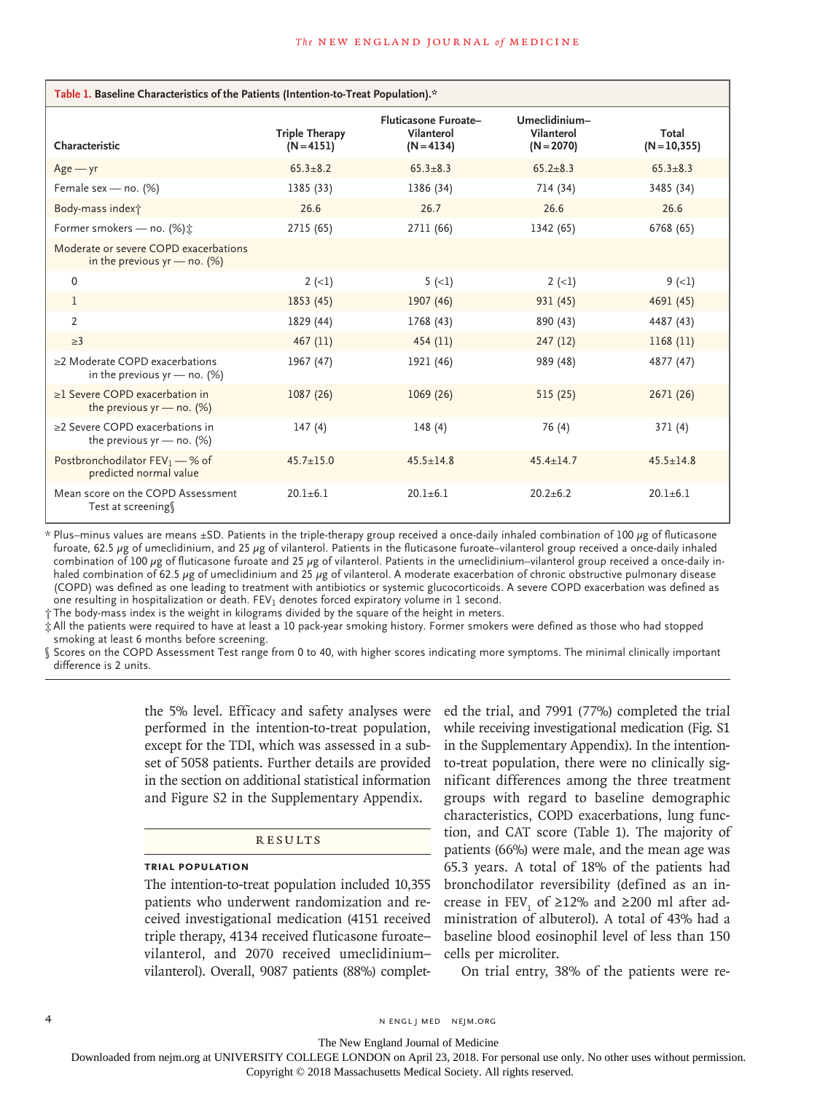| Table 1. Baseline Characteristics of the Patients (Intention-to-Treat Population).* |                                       |                                                    |                                             |                          |  |  |  |  |  |
|-------------------------------------------------------------------------------------|---------------------------------------|----------------------------------------------------|---------------------------------------------|--------------------------|--|--|--|--|--|
| Characteristic                                                                      | <b>Triple Therapy</b><br>$(N = 4151)$ | Fluticasone Furoate-<br>Vilanterol<br>$(N = 4134)$ | Umeclidinium-<br>Vilanterol<br>$(N = 2070)$ | Total<br>$(N = 10, 355)$ |  |  |  |  |  |
| $Age - yr$                                                                          | $65.3 + 8.2$                          | $65.3 + 8.3$                                       | $65.2 + 8.3$                                | $65.3 + 8.3$             |  |  |  |  |  |
| Female sex - no. (%)                                                                | 1385 (33)                             | 1386 (34)                                          | 714 (34)                                    | 3485 (34)                |  |  |  |  |  |
| Body-mass index†                                                                    | 26.6                                  | 26.7                                               | 26.6                                        | 26.6                     |  |  |  |  |  |
| Former smokers - no. (%) ±                                                          | 2715 (65)                             | 2711 (66)                                          | 1342 (65)                                   | 6768 (65)                |  |  |  |  |  |
| Moderate or severe COPD exacerbations<br>in the previous $yr$ — no. (%)             |                                       |                                                    |                                             |                          |  |  |  |  |  |
| $\mathbf{0}$                                                                        | $2(-1)$                               | $5(-1)$                                            | $2(-1)$                                     | $9(-1)$                  |  |  |  |  |  |
| 1                                                                                   | 1853 (45)                             | 1907 (46)                                          | 931 (45)                                    | 4691 (45)                |  |  |  |  |  |
| $\overline{2}$                                                                      | 1829 (44)                             | 1768 (43)                                          | 890 (43)                                    | 4487 (43)                |  |  |  |  |  |
| $\geq$ 3                                                                            | 467(11)                               | 454(11)                                            | 247(12)                                     | 1168(11)                 |  |  |  |  |  |
| $\geq$ 2 Moderate COPD exacerbations<br>in the previous $yr$ — no. (%)              | 1967 (47)                             | 1921 (46)                                          | 989 (48)                                    | 4877 (47)                |  |  |  |  |  |
| $\geq$ Severe COPD exacerbation in<br>the previous $yr$ – no. $(\%)$                | 1087 (26)                             | 1069(26)                                           | 515(25)                                     | 2671 (26)                |  |  |  |  |  |
| >2 Severe COPD exacerbations in<br>the previous $yr$ — no. $(\%)$                   | 147(4)                                | 148(4)                                             | 76 (4)                                      | 371(4)                   |  |  |  |  |  |
| Postbronchodilator $FEV_1 - %$ of<br>predicted normal value                         | $45.7 \pm 15.0$                       | $45.5 \pm 14.8$                                    | $45.4 \pm 14.7$                             | $45.5 \pm 14.8$          |  |  |  |  |  |
| Mean score on the COPD Assessment<br>Test at screening                              | $20.1 + 6.1$                          | $20.1 + 6.1$                                       | $20.2 + 6.2$                                | $20.1 + 6.1$             |  |  |  |  |  |

\* Plus–minus values are means ±SD. Patients in the triple-therapy group received a once-daily inhaled combination of 100 μg of fluticasone furoate, 62.5 μg of umeclidinium, and 25 μg of vilanterol. Patients in the fluticasone furoate–vilanterol group received a once-daily inhaled combination of 100 μg of fluticasone furoate and 25 μg of vilanterol. Patients in the umeclidinium–vilanterol group received a once-daily inhaled combination of 62.5 μg of umeclidinium and 25 μg of vilanterol. A moderate exacerbation of chronic obstructive pulmonary disease (COPD) was defined as one leading to treatment with antibiotics or systemic glucocorticoids. A severe COPD exacerbation was defined as one resulting in hospitalization or death. FEV<sub>1</sub> denotes forced expiratory volume in 1 second.

† The body-mass index is the weight in kilograms divided by the square of the height in meters.

‡ All the patients were required to have at least a 10 pack-year smoking history. Former smokers were defined as those who had stopped smoking at least 6 months before screening.

§ Scores on the COPD Assessment Test range from 0 to 40, with higher scores indicating more symptoms. The minimal clinically important difference is 2 units.

> the 5% level. Efficacy and safety analyses were performed in the intention-to-treat population, except for the TDI, which was assessed in a subset of 5058 patients. Further details are provided in the section on additional statistical information and Figure S2 in the Supplementary Appendix.

#### **RESULTS**

# **Trial Population**

The intention-to-treat population included 10,355 patients who underwent randomization and received investigational medication (4151 received triple therapy, 4134 received fluticasone furoate– vilanterol, and 2070 received umeclidinium– vilanterol). Overall, 9087 patients (88%) completed the trial, and 7991 (77%) completed the trial while receiving investigational medication (Fig. S1 in the Supplementary Appendix). In the intentionto-treat population, there were no clinically significant differences among the three treatment groups with regard to baseline demographic characteristics, COPD exacerbations, lung function, and CAT score (Table 1). The majority of patients (66%) were male, and the mean age was 65.3 years. A total of 18% of the patients had bronchodilator reversibility (defined as an increase in  $FEV_1$  of  $\geq$ 12% and  $\geq$ 200 ml after administration of albuterol). A total of 43% had a baseline blood eosinophil level of less than 150 cells per microliter.

On trial entry, 38% of the patients were re-

4 **n engl j med negl j med nejm.org** N ENGL J MED NEJM.ORG

The New England Journal of Medicine

Downloaded from nejm.org at UNIVERSITY COLLEGE LONDON on April 23, 2018. For personal use only. No other uses without permission.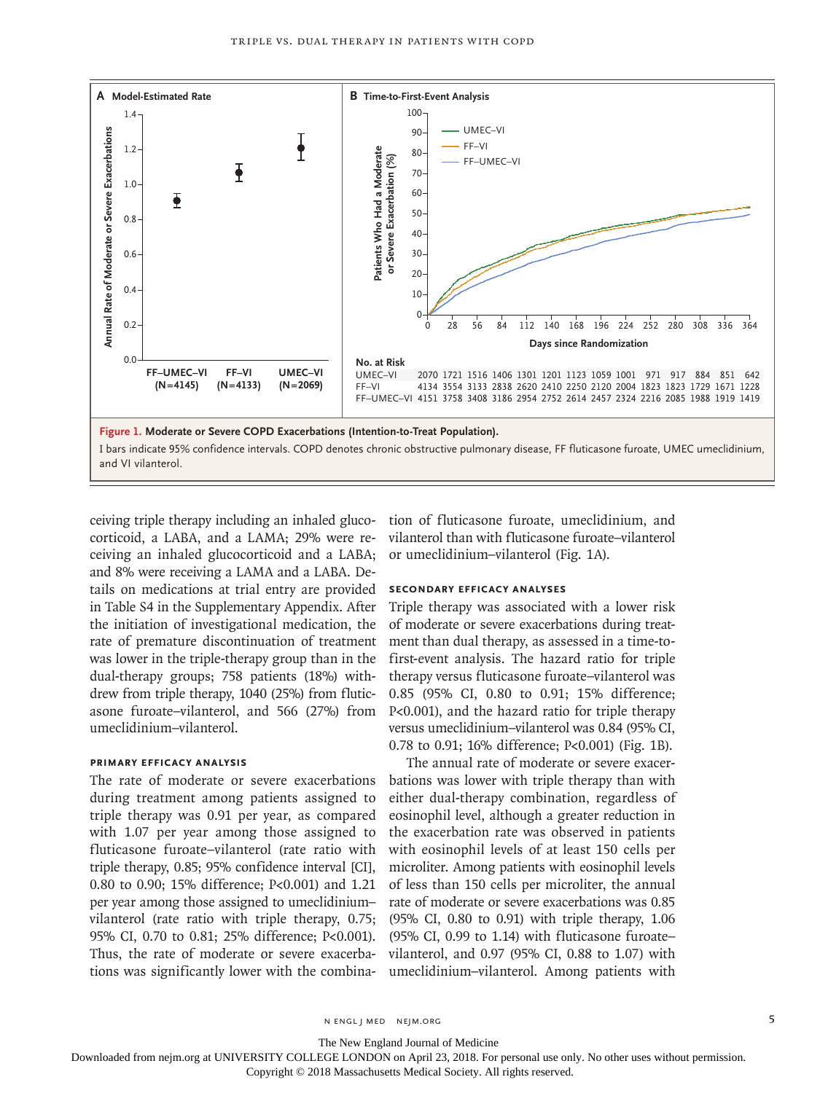

ceiving triple therapy including an inhaled glucocorticoid, a LABA, and a LAMA; 29% were receiving an inhaled glucocorticoid and a LABA; and 8% were receiving a LAMA and a LABA. Details on medications at trial entry are provided in Table S4 in the Supplementary Appendix. After the initiation of investigational medication, the rate of premature discontinuation of treatment was lower in the triple-therapy group than in the dual-therapy groups; 758 patients (18%) withdrew from triple therapy, 1040 (25%) from fluticasone furoate–vilanterol, and 566 (27%) from umeclidinium–vilanterol.

# **Primary Efficacy Analysis**

The rate of moderate or severe exacerbations during treatment among patients assigned to triple therapy was 0.91 per year, as compared with 1.07 per year among those assigned to fluticasone furoate–vilanterol (rate ratio with triple therapy, 0.85; 95% confidence interval [CI], 0.80 to 0.90; 15% difference; P<0.001) and 1.21 per year among those assigned to umeclidinium– vilanterol (rate ratio with triple therapy, 0.75; 95% CI, 0.70 to 0.81; 25% difference; P<0.001). Thus, the rate of moderate or severe exacerbations was significantly lower with the combination of fluticasone furoate, umeclidinium, and vilanterol than with fluticasone furoate–vilanterol or umeclidinium–vilanterol (Fig. 1A).

#### **Secondary Efficacy Analyses**

Triple therapy was associated with a lower risk of moderate or severe exacerbations during treatment than dual therapy, as assessed in a time-tofirst-event analysis. The hazard ratio for triple therapy versus fluticasone furoate–vilanterol was 0.85 (95% CI, 0.80 to 0.91; 15% difference; P<0.001), and the hazard ratio for triple therapy versus umeclidinium–vilanterol was 0.84 (95% CI, 0.78 to 0.91; 16% difference; P<0.001) (Fig. 1B).

The annual rate of moderate or severe exacerbations was lower with triple therapy than with either dual-therapy combination, regardless of eosinophil level, although a greater reduction in the exacerbation rate was observed in patients with eosinophil levels of at least 150 cells per microliter. Among patients with eosinophil levels of less than 150 cells per microliter, the annual rate of moderate or severe exacerbations was 0.85 (95% CI, 0.80 to 0.91) with triple therapy, 1.06 (95% CI, 0.99 to 1.14) with fluticasone furoate– vilanterol, and 0.97 (95% CI, 0.88 to 1.07) with umeclidinium–vilanterol. Among patients with

The New England Journal of Medicine

Downloaded from nejm.org at UNIVERSITY COLLEGE LONDON on April 23, 2018. For personal use only. No other uses without permission.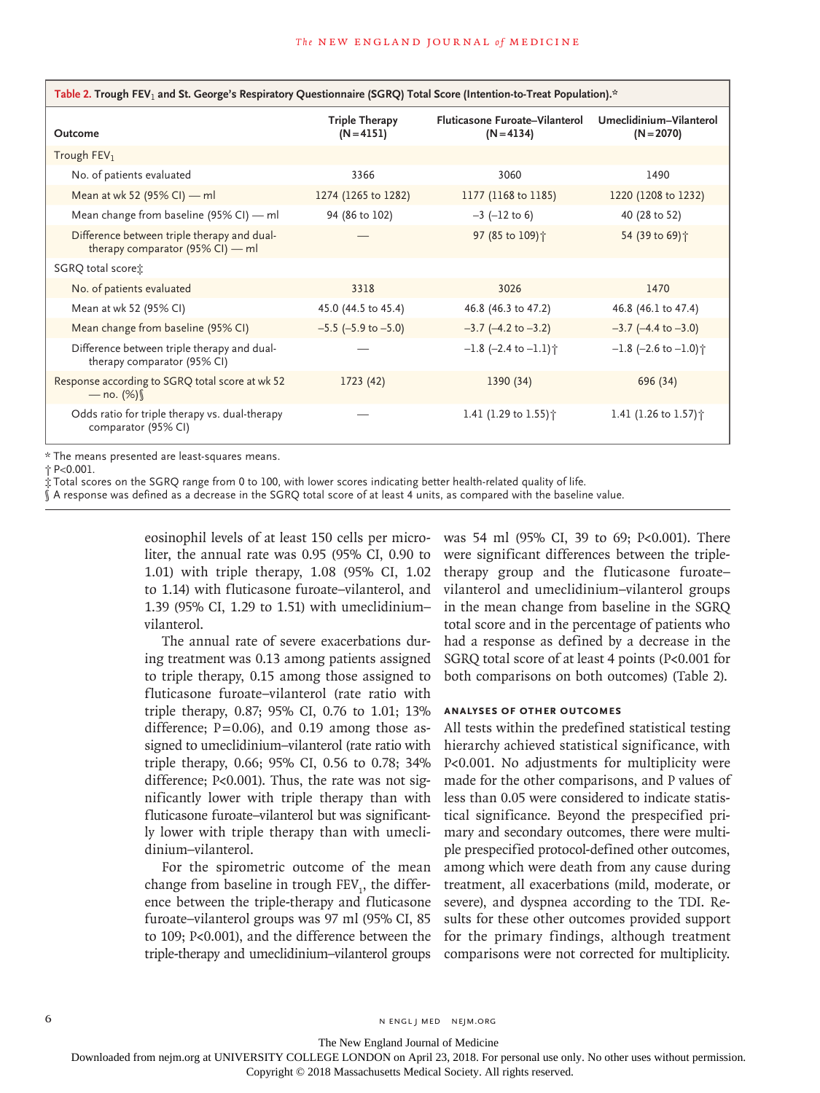| Table 2. Trough FEV <sub>1</sub> and St. George's Respiratory Questionnaire (SGRQ) Total Score (Intention-to-Treat Population).* |                                       |                                                |                                         |  |  |  |  |
|----------------------------------------------------------------------------------------------------------------------------------|---------------------------------------|------------------------------------------------|-----------------------------------------|--|--|--|--|
| Outcome                                                                                                                          | <b>Triple Therapy</b><br>$(N = 4151)$ | Fluticasone Furoate–Vilanterol<br>$(N = 4134)$ | Umeclidinium-Vilanterol<br>$(N = 2070)$ |  |  |  |  |
| Trough $FEV1$                                                                                                                    |                                       |                                                |                                         |  |  |  |  |
| No. of patients evaluated                                                                                                        | 3366                                  | 3060                                           | 1490                                    |  |  |  |  |
| Mean at wk 52 (95% CI) — ml                                                                                                      | 1274 (1265 to 1282)                   | 1177 (1168 to 1185)                            | 1220 (1208 to 1232)                     |  |  |  |  |
| Mean change from baseline (95% CI) $-$ ml                                                                                        | 94 (86 to 102)                        | $-3$ ( $-12$ to 6)                             | 40 (28 to 52)                           |  |  |  |  |
| Difference between triple therapy and dual-<br>therapy comparator $(95\%$ CI) — ml                                               |                                       | 97 (85 to 109) +                               | 54 (39 to 69)个                          |  |  |  |  |
| SGRQ total score:                                                                                                                |                                       |                                                |                                         |  |  |  |  |
| No. of patients evaluated                                                                                                        | 3318                                  | 3026                                           | 1470                                    |  |  |  |  |
| Mean at wk 52 (95% CI)                                                                                                           | 45.0 (44.5 to 45.4)                   | 46.8 (46.3 to 47.2)                            | 46.8 (46.1 to 47.4)                     |  |  |  |  |
| Mean change from baseline (95% CI)                                                                                               | $-5.5$ ( $-5.9$ to $-5.0$ )           | $-3.7$ ( $-4.2$ to $-3.2$ )                    | $-3.7$ ( $-4.4$ to $-3.0$ )             |  |  |  |  |
| Difference between triple therapy and dual-<br>therapy comparator (95% CI)                                                       |                                       | $-1.8$ (-2.4 to $-1.1$ ) $\uparrow$            | $-1.8$ (-2.6 to $-1.0$ ) <sup>+</sup>   |  |  |  |  |
| Response according to SGRQ total score at wk 52<br>— no. $(\%)$                                                                  | 1723(42)                              | 1390 (34)                                      | 696 (34)                                |  |  |  |  |
| Odds ratio for triple therapy vs. dual-therapy<br>comparator (95% CI)                                                            |                                       | 1.41 (1.29 to 1.55) $\dagger$                  | 1.41 (1.26 to 1.57) $\dagger$           |  |  |  |  |
|                                                                                                                                  |                                       |                                                |                                         |  |  |  |  |

\* The means presented are least-squares means.

† P<0.001.

‡ Total scores on the SGRQ range from 0 to 100, with lower scores indicating better health-related quality of life.

§ A response was defined as a decrease in the SGRQ total score of at least 4 units, as compared with the baseline value.

eosinophil levels of at least 150 cells per microliter, the annual rate was 0.95 (95% CI, 0.90 to 1.01) with triple therapy, 1.08 (95% CI, 1.02 to 1.14) with fluticasone furoate–vilanterol, and 1.39 (95% CI, 1.29 to 1.51) with umeclidinium– vilanterol.

The annual rate of severe exacerbations during treatment was 0.13 among patients assigned to triple therapy, 0.15 among those assigned to fluticasone furoate–vilanterol (rate ratio with triple therapy, 0.87; 95% CI, 0.76 to 1.01; 13% difference;  $P=0.06$ ), and 0.19 among those assigned to umeclidinium–vilanterol (rate ratio with triple therapy, 0.66; 95% CI, 0.56 to 0.78; 34% difference; P<0.001). Thus, the rate was not significantly lower with triple therapy than with fluticasone furoate–vilanterol but was significantly lower with triple therapy than with umeclidinium–vilanterol.

For the spirometric outcome of the mean change from baseline in trough  $FEV<sub>1</sub>$ , the difference between the triple-therapy and fluticasone furoate–vilanterol groups was 97 ml (95% CI, 85 to 109; P<0.001), and the difference between the triple-therapy and umeclidinium–vilanterol groups was 54 ml (95% CI, 39 to 69; P<0.001). There were significant differences between the tripletherapy group and the fluticasone furoate– vilanterol and umeclidinium–vilanterol groups in the mean change from baseline in the SGRQ total score and in the percentage of patients who had a response as defined by a decrease in the SGRQ total score of at least 4 points (P<0.001 for both comparisons on both outcomes) (Table 2).

#### **Analyses of Other Outcomes**

All tests within the predefined statistical testing hierarchy achieved statistical significance, with P<0.001. No adjustments for multiplicity were made for the other comparisons, and P values of less than 0.05 were considered to indicate statistical significance. Beyond the prespecified primary and secondary outcomes, there were multiple prespecified protocol-defined other outcomes, among which were death from any cause during treatment, all exacerbations (mild, moderate, or severe), and dyspnea according to the TDI. Results for these other outcomes provided support for the primary findings, although treatment comparisons were not corrected for multiplicity.

6 **n** engl j med nejm.org neighbors in the neutral media  $\frac{1}{2}$  media  $\frac{1}{2}$  media  $\frac{1}{2}$  media  $\frac{1}{2}$  media  $\frac{1}{2}$  media  $\frac{1}{2}$  media  $\frac{1}{2}$  media  $\frac{1}{2}$  media  $\frac{1}{2}$  media  $\frac{1}{2}$  media  $\frac{1$ 

The New England Journal of Medicine

Downloaded from nejm.org at UNIVERSITY COLLEGE LONDON on April 23, 2018. For personal use only. No other uses without permission.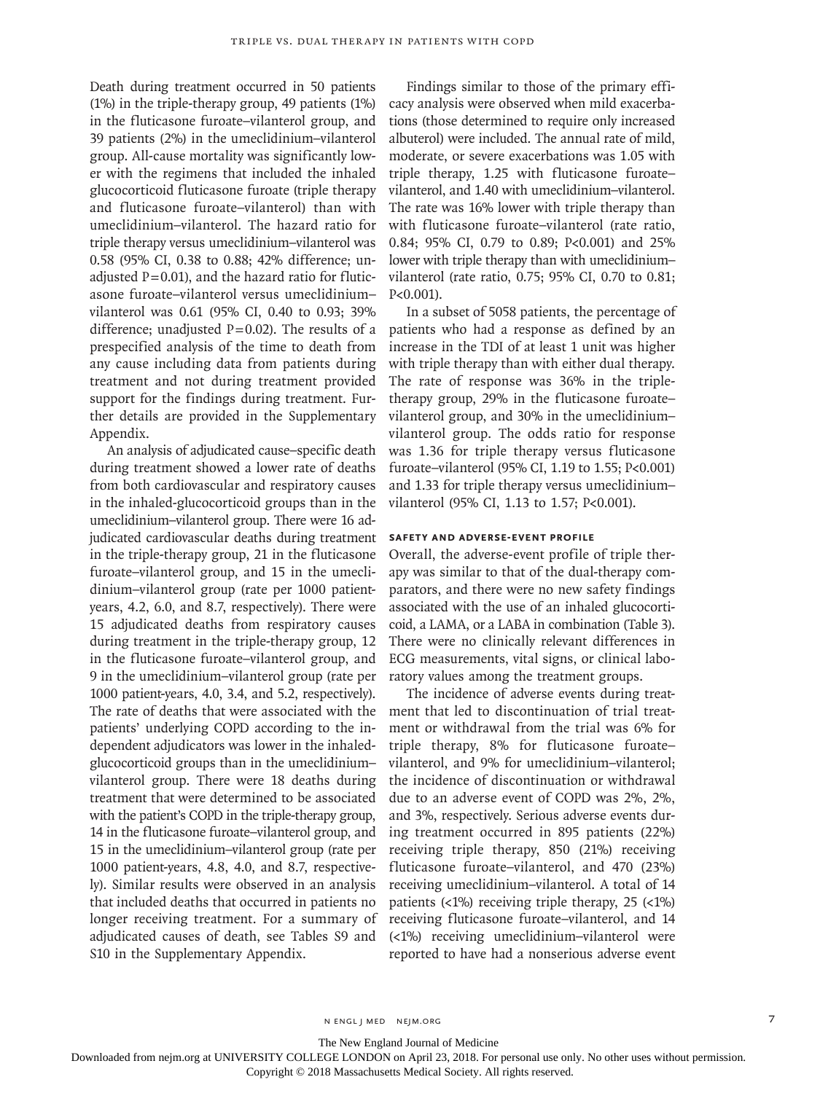Death during treatment occurred in 50 patients (1%) in the triple-therapy group, 49 patients (1%) in the fluticasone furoate–vilanterol group, and 39 patients (2%) in the umeclidinium–vilanterol group. All-cause mortality was significantly lower with the regimens that included the inhaled glucocorticoid fluticasone furoate (triple therapy and fluticasone furoate–vilanterol) than with umeclidinium–vilanterol. The hazard ratio for triple therapy versus umeclidinium–vilanterol was 0.58 (95% CI, 0.38 to 0.88; 42% difference; unadiusted  $P=0.01$ ), and the hazard ratio for fluticasone furoate–vilanterol versus umeclidinium– vilanterol was 0.61 (95% CI, 0.40 to 0.93; 39% difference; unadjusted  $P=0.02$ ). The results of a prespecified analysis of the time to death from any cause including data from patients during treatment and not during treatment provided support for the findings during treatment. Further details are provided in the Supplementary Appendix.

An analysis of adjudicated cause–specific death during treatment showed a lower rate of deaths from both cardiovascular and respiratory causes in the inhaled-glucocorticoid groups than in the umeclidinium–vilanterol group. There were 16 adjudicated cardiovascular deaths during treatment in the triple-therapy group, 21 in the fluticasone furoate–vilanterol group, and 15 in the umeclidinium–vilanterol group (rate per 1000 patientyears, 4.2, 6.0, and 8.7, respectively). There were 15 adjudicated deaths from respiratory causes during treatment in the triple-therapy group, 12 in the fluticasone furoate–vilanterol group, and 9 in the umeclidinium–vilanterol group (rate per 1000 patient-years, 4.0, 3.4, and 5.2, respectively). The rate of deaths that were associated with the patients' underlying COPD according to the independent adjudicators was lower in the inhaledglucocorticoid groups than in the umeclidinium– vilanterol group. There were 18 deaths during treatment that were determined to be associated with the patient's COPD in the triple-therapy group, 14 in the fluticasone furoate–vilanterol group, and 15 in the umeclidinium–vilanterol group (rate per 1000 patient-years, 4.8, 4.0, and 8.7, respectively). Similar results were observed in an analysis that included deaths that occurred in patients no longer receiving treatment. For a summary of adjudicated causes of death, see Tables S9 and S10 in the Supplementary Appendix.

Findings similar to those of the primary efficacy analysis were observed when mild exacerbations (those determined to require only increased albuterol) were included. The annual rate of mild, moderate, or severe exacerbations was 1.05 with triple therapy, 1.25 with fluticasone furoate– vilanterol, and 1.40 with umeclidinium–vilanterol. The rate was 16% lower with triple therapy than with fluticasone furoate–vilanterol (rate ratio, 0.84; 95% CI, 0.79 to 0.89; P<0.001) and 25% lower with triple therapy than with umeclidinium– vilanterol (rate ratio, 0.75; 95% CI, 0.70 to 0.81; P<0.001).

In a subset of 5058 patients, the percentage of patients who had a response as defined by an increase in the TDI of at least 1 unit was higher with triple therapy than with either dual therapy. The rate of response was 36% in the tripletherapy group, 29% in the fluticasone furoate– vilanterol group, and 30% in the umeclidinium– vilanterol group. The odds ratio for response was 1.36 for triple therapy versus fluticasone furoate–vilanterol (95% CI, 1.19 to 1.55; P<0.001) and 1.33 for triple therapy versus umeclidinium– vilanterol (95% CI, 1.13 to 1.57; P<0.001).

# **Safety and Adverse-Event Profile**

Overall, the adverse-event profile of triple therapy was similar to that of the dual-therapy comparators, and there were no new safety findings associated with the use of an inhaled glucocorticoid, a LAMA, or a LABA in combination (Table 3). There were no clinically relevant differences in ECG measurements, vital signs, or clinical laboratory values among the treatment groups.

The incidence of adverse events during treatment that led to discontinuation of trial treatment or withdrawal from the trial was 6% for triple therapy, 8% for fluticasone furoate– vilanterol, and 9% for umeclidinium–vilanterol; the incidence of discontinuation or withdrawal due to an adverse event of COPD was 2%, 2%, and 3%, respectively. Serious adverse events during treatment occurred in 895 patients (22%) receiving triple therapy, 850 (21%) receiving fluticasone furoate–vilanterol, and 470 (23%) receiving umeclidinium–vilanterol. A total of 14 patients  $\left\langle \langle 1\% \rangle \right\rangle$  receiving triple therapy, 25  $\left\langle \langle 1\% \rangle \right\rangle$ receiving fluticasone furoate–vilanterol, and 14 (<1%) receiving umeclidinium–vilanterol were reported to have had a nonserious adverse event

The New England Journal of Medicine

Downloaded from nejm.org at UNIVERSITY COLLEGE LONDON on April 23, 2018. For personal use only. No other uses without permission.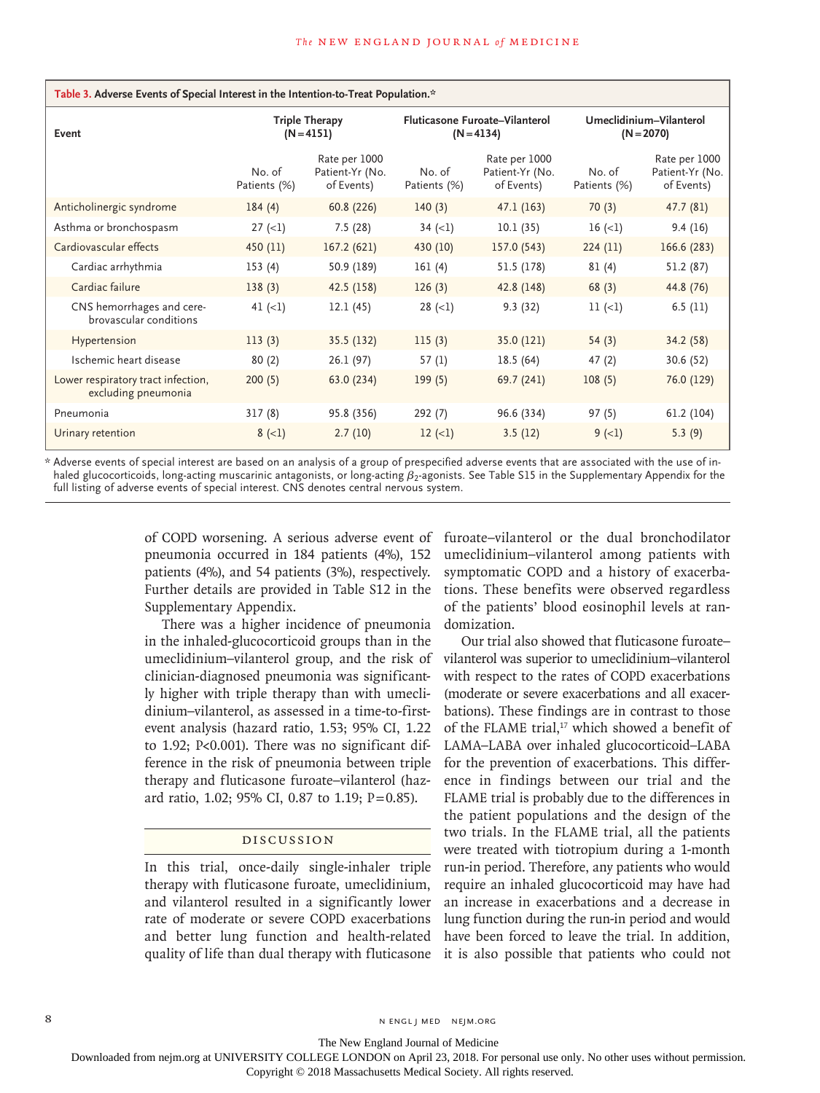| Table 3. Adverse Events of Special Interest in the Intention-to-Treat Population.* |                                       |                                                |                                                |                                                |                                         |                                                |  |  |  |
|------------------------------------------------------------------------------------|---------------------------------------|------------------------------------------------|------------------------------------------------|------------------------------------------------|-----------------------------------------|------------------------------------------------|--|--|--|
| Event                                                                              | <b>Triple Therapy</b><br>$(N = 4151)$ |                                                | Fluticasone Furoate-Vilanterol<br>$(N = 4134)$ |                                                | Umeclidinium-Vilanterol<br>$(N = 2070)$ |                                                |  |  |  |
|                                                                                    | No. of<br>Patients (%)                | Rate per 1000<br>Patient-Yr (No.<br>of Events) | No. of<br>Patients (%)                         | Rate per 1000<br>Patient-Yr (No.<br>of Events) | No. of<br>Patients (%)                  | Rate per 1000<br>Patient-Yr (No.<br>of Events) |  |  |  |
| Anticholinergic syndrome                                                           | 184(4)                                | 60.8 (226)                                     | 140(3)                                         | 47.1 (163)                                     | 70(3)                                   | 47.7 (81)                                      |  |  |  |
| Asthma or bronchospasm                                                             | $27 (-1)$                             | 7.5(28)                                        | 34 $(<1)$                                      | 10.1(35)                                       | 16(1)                                   | 9.4(16)                                        |  |  |  |
| Cardiovascular effects                                                             | 450 (11)                              | 167.2 (621)                                    | 430 (10)                                       | 157.0 (543)                                    | 224(11)                                 | 166.6 (283)                                    |  |  |  |
| Cardiac arrhythmia                                                                 | 153(4)                                | 50.9 (189)                                     | 161(4)                                         | 51.5 (178)                                     | 81(4)                                   | 51.2 (87)                                      |  |  |  |
| Cardiac failure                                                                    | 138(3)                                | 42.5 (158)                                     | 126(3)                                         | 42.8 (148)                                     | 68(3)                                   | 44.8 (76)                                      |  |  |  |
| CNS hemorrhages and cere-<br>brovascular conditions                                | 41 $(\langle 1]$                      | 12.1(45)                                       | $28 (=1)$                                      | 9.3(32)                                        | $11 (=1)$                               | 6.5(11)                                        |  |  |  |
| Hypertension                                                                       | 113(3)                                | 35.5 (132)                                     | 115(3)                                         | 35.0(121)                                      | 54(3)                                   | 34.2 (58)                                      |  |  |  |
| Ischemic heart disease                                                             | 80(2)                                 | 26.1 (97)                                      | 57(1)                                          | 18.5(64)                                       | 47(2)                                   | 30.6 (52)                                      |  |  |  |
| Lower respiratory tract infection,<br>excluding pneumonia                          | 200(5)                                | 63.0 (234)                                     | 199(5)                                         | 69.7 (241)                                     | 108(5)                                  | 76.0 (129)                                     |  |  |  |
| Pneumonia                                                                          | 317(8)                                | 95.8 (356)                                     | 292(7)                                         | 96.6 (334)                                     | 97(5)                                   | 61.2 (104)                                     |  |  |  |
| Urinary retention                                                                  | $8 (-1)$                              | 2.7(10)                                        | $12 (-1)$                                      | 3.5(12)                                        | $9(-1)$                                 | 5.3(9)                                         |  |  |  |

\* Adverse events of special interest are based on an analysis of a group of prespecified adverse events that are associated with the use of inhaled glucocorticoids, long-acting muscarinic antagonists, or long-acting β2-agonists. See Table S15 in the Supplementary Appendix for the full listing of adverse events of special interest. CNS denotes central nervous system.

> of COPD worsening. A serious adverse event of pneumonia occurred in 184 patients (4%), 152 patients (4%), and 54 patients (3%), respectively. Further details are provided in Table S12 in the Supplementary Appendix.

> There was a higher incidence of pneumonia in the inhaled-glucocorticoid groups than in the umeclidinium–vilanterol group, and the risk of clinician-diagnosed pneumonia was significantly higher with triple therapy than with umeclidinium–vilanterol, as assessed in a time-to-firstevent analysis (hazard ratio, 1.53; 95% CI, 1.22 to 1.92; P<0.001). There was no significant difference in the risk of pneumonia between triple therapy and fluticasone furoate–vilanterol (hazard ratio, 1.02; 95% CI, 0.87 to 1.19; P=0.85).

# Discussion

In this trial, once-daily single-inhaler triple therapy with fluticasone furoate, umeclidinium, and vilanterol resulted in a significantly lower rate of moderate or severe COPD exacerbations and better lung function and health-related quality of life than dual therapy with fluticasone

furoate–vilanterol or the dual bronchodilator umeclidinium–vilanterol among patients with symptomatic COPD and a history of exacerbations. These benefits were observed regardless of the patients' blood eosinophil levels at randomization.

Our trial also showed that fluticasone furoate– vilanterol was superior to umeclidinium–vilanterol with respect to the rates of COPD exacerbations (moderate or severe exacerbations and all exacerbations). These findings are in contrast to those of the FLAME trial,<sup>17</sup> which showed a benefit of LAMA–LABA over inhaled glucocorticoid–LABA for the prevention of exacerbations. This difference in findings between our trial and the FLAME trial is probably due to the differences in the patient populations and the design of the two trials. In the FLAME trial, all the patients were treated with tiotropium during a 1-month run-in period. Therefore, any patients who would require an inhaled glucocorticoid may have had an increase in exacerbations and a decrease in lung function during the run-in period and would have been forced to leave the trial. In addition, it is also possible that patients who could not

8 N ENGL J MED NEJM.ORG

The New England Journal of Medicine

Downloaded from nejm.org at UNIVERSITY COLLEGE LONDON on April 23, 2018. For personal use only. No other uses without permission.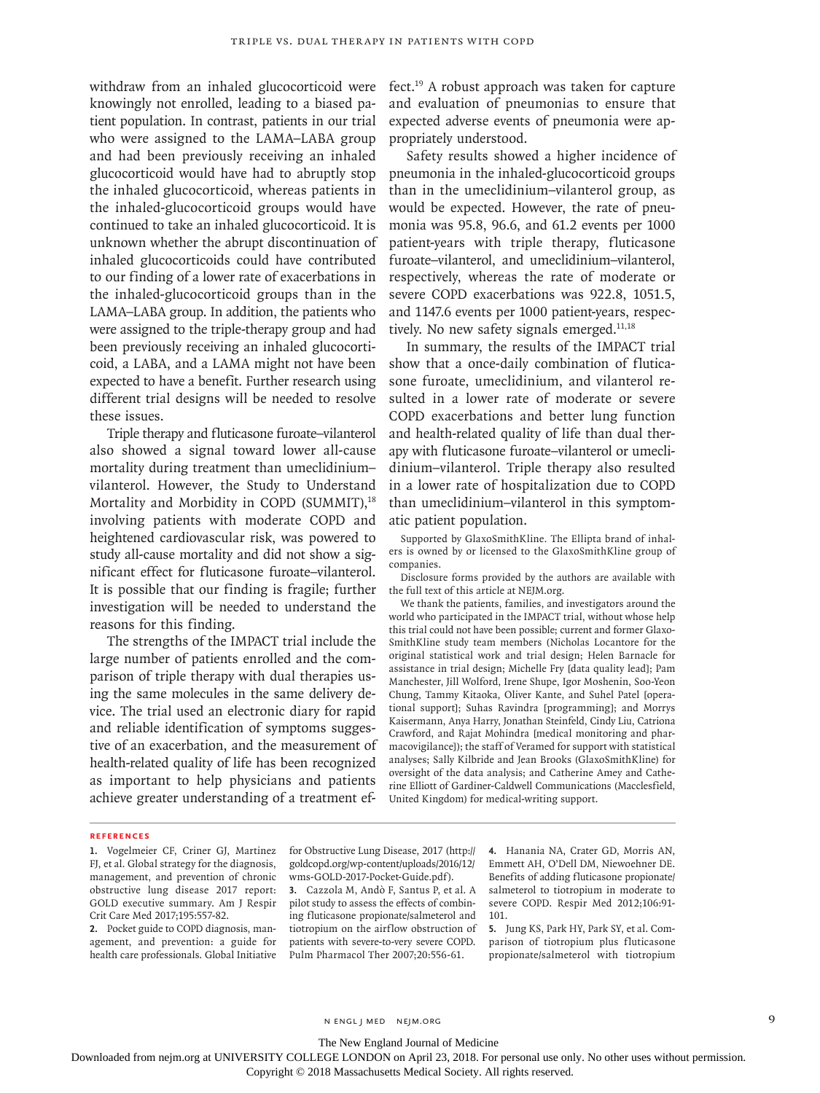withdraw from an inhaled glucocorticoid were knowingly not enrolled, leading to a biased patient population. In contrast, patients in our trial who were assigned to the LAMA–LABA group and had been previously receiving an inhaled glucocorticoid would have had to abruptly stop the inhaled glucocorticoid, whereas patients in the inhaled-glucocorticoid groups would have continued to take an inhaled glucocorticoid. It is unknown whether the abrupt discontinuation of inhaled glucocorticoids could have contributed to our finding of a lower rate of exacerbations in the inhaled-glucocorticoid groups than in the LAMA–LABA group. In addition, the patients who were assigned to the triple-therapy group and had been previously receiving an inhaled glucocorticoid, a LABA, and a LAMA might not have been expected to have a benefit. Further research using different trial designs will be needed to resolve these issues.

Triple therapy and fluticasone furoate–vilanterol also showed a signal toward lower all-cause mortality during treatment than umeclidinium– vilanterol. However, the Study to Understand Mortality and Morbidity in COPD (SUMMIT),<sup>18</sup> involving patients with moderate COPD and heightened cardiovascular risk, was powered to study all-cause mortality and did not show a significant effect for fluticasone furoate–vilanterol. It is possible that our finding is fragile; further investigation will be needed to understand the reasons for this finding.

The strengths of the IMPACT trial include the large number of patients enrolled and the comparison of triple therapy with dual therapies using the same molecules in the same delivery device. The trial used an electronic diary for rapid and reliable identification of symptoms suggestive of an exacerbation, and the measurement of health-related quality of life has been recognized as important to help physicians and patients achieve greater understanding of a treatment effect.19 A robust approach was taken for capture and evaluation of pneumonias to ensure that expected adverse events of pneumonia were appropriately understood.

Safety results showed a higher incidence of pneumonia in the inhaled-glucocorticoid groups than in the umeclidinium–vilanterol group, as would be expected. However, the rate of pneumonia was 95.8, 96.6, and 61.2 events per 1000 patient-years with triple therapy, fluticasone furoate–vilanterol, and umeclidinium–vilanterol, respectively, whereas the rate of moderate or severe COPD exacerbations was 922.8, 1051.5, and 1147.6 events per 1000 patient-years, respectively. No new safety signals emerged. $11,18$ 

In summary, the results of the IMPACT trial show that a once-daily combination of fluticasone furoate, umeclidinium, and vilanterol resulted in a lower rate of moderate or severe COPD exacerbations and better lung function and health-related quality of life than dual therapy with fluticasone furoate–vilanterol or umeclidinium–vilanterol. Triple therapy also resulted in a lower rate of hospitalization due to COPD than umeclidinium–vilanterol in this symptomatic patient population.

Supported by GlaxoSmithKline. The Ellipta brand of inhalers is owned by or licensed to the GlaxoSmithKline group of companies.

Disclosure forms provided by the authors are available with the full text of this article at NEJM.org.

We thank the patients, families, and investigators around the world who participated in the IMPACT trial, without whose help this trial could not have been possible; current and former Glaxo-SmithKline study team members (Nicholas Locantore for the original statistical work and trial design; Helen Barnacle for assistance in trial design; Michelle Fry [data quality lead]; Pam Manchester, Jill Wolford, Irene Shupe, Igor Moshenin, Soo-Yeon Chung, Tammy Kitaoka, Oliver Kante, and Suhel Patel [operational support]; Suhas Ravindra [programming]; and Morrys Kaisermann, Anya Harry, Jonathan Steinfeld, Cindy Liu, Catriona Crawford, and Rajat Mohindra [medical monitoring and pharmacovigilance]); the staff of Veramed for support with statistical analyses; Sally Kilbride and Jean Brooks (GlaxoSmithKline) for oversight of the data analysis; and Catherine Amey and Catherine Elliott of Gardiner-Caldwell Communications (Macclesfield, United Kingdom) for medical-writing support.

#### **References**

**2.** Pocket guide to COPD diagnosis, management, and prevention: a guide for health care professionals. Global Initiative for Obstructive Lung Disease, 2017 (http:// goldcopd.org/wp-content/uploads/2016/12/ wms-GOLD-2017-Pocket-Guide.pdf).

**3.** Cazzola M, Andò F, Santus P, et al. A pilot study to assess the effects of combining fluticasone propionate/salmeterol and tiotropium on the airflow obstruction of patients with severe-to-very severe COPD. Pulm Pharmacol Ther 2007;20:556-61.

**4.** Hanania NA, Crater GD, Morris AN, Emmett AH, O'Dell DM, Niewoehner DE. Benefits of adding fluticasone propionate/ salmeterol to tiotropium in moderate to severe COPD. Respir Med 2012;106:91- 101.

**5.** Jung KS, Park HY, Park SY, et al. Comparison of tiotropium plus fluticasone propionate/salmeterol with tiotropium

n engl j med nejm.org 9

The New England Journal of Medicine

Downloaded from nejm.org at UNIVERSITY COLLEGE LONDON on April 23, 2018. For personal use only. No other uses without permission.

**<sup>1.</sup>** Vogelmeier CF, Criner GJ, Martinez FJ, et al. Global strategy for the diagnosis, management, and prevention of chronic obstructive lung disease 2017 report: GOLD executive summary. Am J Respir Crit Care Med 2017;195:557-82.